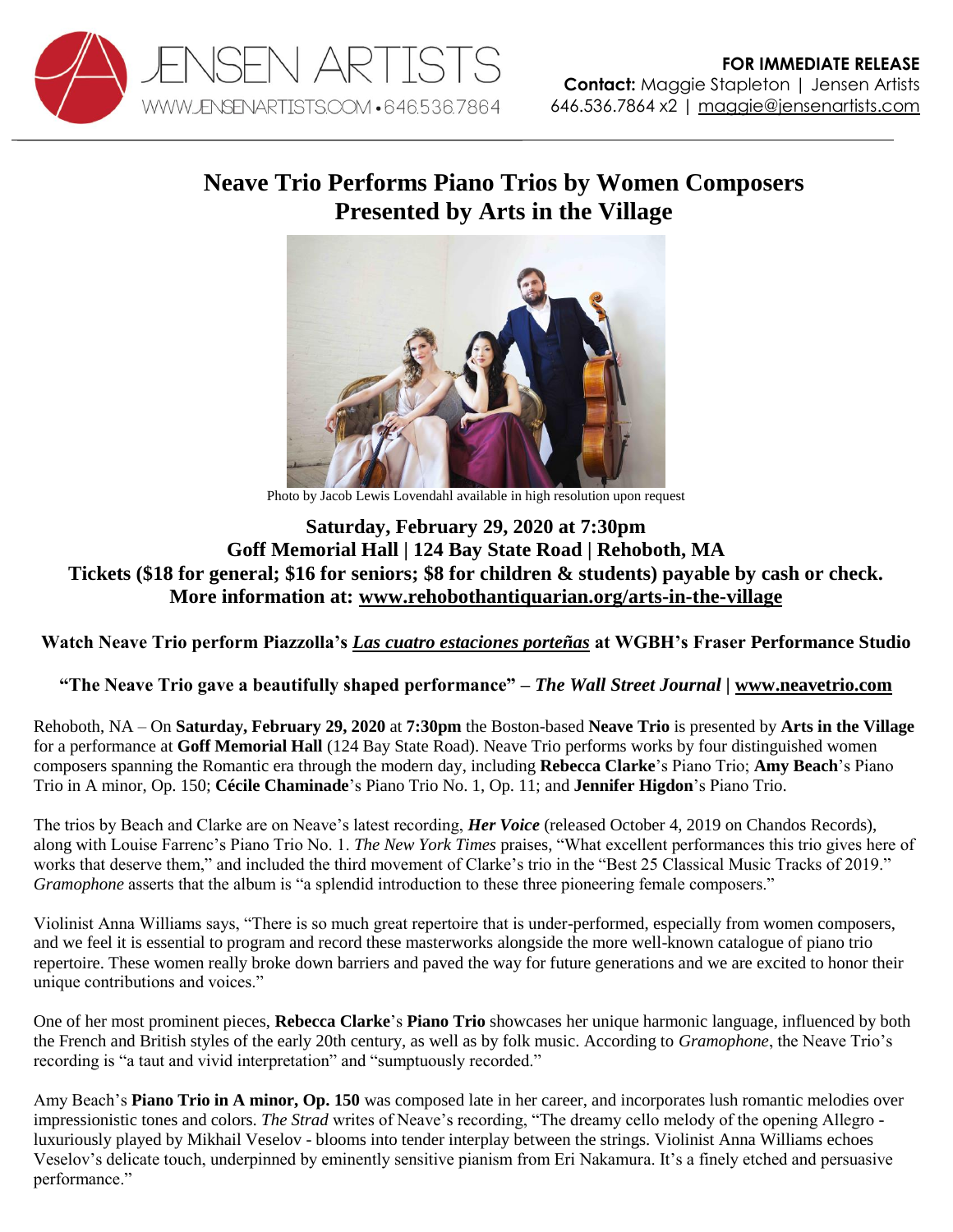

## **Neave Trio Performs Piano Trios by Women Composers Presented by Arts in the Village**



Photo by Jacob Lewis Lovendahl available in high resolution upon request

## **Saturday, February 29, 2020 at 7:30pm Goff Memorial Hall | 124 Bay State Road | Rehoboth, MA Tickets (\$18 for general; \$16 for seniors; \$8 for children & students) payable by cash or check. More information at: [www.rehobothantiquarian.org/arts-in-the-village](http://www.rehobothantiquarian.org/arts-in-the-village)**

**Watch Neave Trio perform Piazzolla's** *[Las cuatro estaciones porteñas](https://youtu.be/Xs3a6h4OV-E)* **at WGBH's Fraser Performance Studio**

**"The Neave Trio gave a beautifully shaped performance"** *– The Wall Street Journal |* **[www.neavetrio.com](http://www.neavetrio.com/)**

Rehoboth, NA – On **Saturday, February 29, 2020** at **7:30pm** the Boston-based **Neave Trio** is presented by **Arts in the Village** for a performance at **Goff Memorial Hall** (124 Bay State Road). Neave Trio performs works by four distinguished women composers spanning the Romantic era through the modern day, including **Rebecca Clarke**'s Piano Trio; **Amy Beach**'s Piano Trio in A minor, Op. 150; **Cécile Chaminade**'s Piano Trio No. 1, Op. 11; and **Jennifer Higdon**'s Piano Trio.

The trios by Beach and Clarke are on Neave's latest recording, *Her Voice* (released October 4, 2019 on Chandos Records), along with Louise Farrenc's Piano Trio No. 1. *The New York Times* praises, "What excellent performances this trio gives here of works that deserve them," and included the third movement of Clarke's trio in the "Best 25 Classical Music Tracks of 2019." *Gramophone* asserts that the album is "a splendid introduction to these three pioneering female composers."

Violinist Anna Williams says, "There is so much great repertoire that is under-performed, especially from women composers, and we feel it is essential to program and record these masterworks alongside the more well-known catalogue of piano trio repertoire. These women really broke down barriers and paved the way for future generations and we are excited to honor their unique contributions and voices."

One of her most prominent pieces, **Rebecca Clarke**'s **Piano Trio** showcases her unique harmonic language, influenced by both the French and British styles of the early 20th century, as well as by folk music. According to *Gramophone*, the Neave Trio's recording is "a taut and vivid interpretation" and "sumptuously recorded."

Amy Beach's **Piano Trio in A minor, Op. 150** was composed late in her career, and incorporates lush romantic melodies over impressionistic tones and colors. *The Strad* writes of Neave's recording, "The dreamy cello melody of the opening Allegro luxuriously played by Mikhail Veselov - blooms into tender interplay between the strings. Violinist Anna Williams echoes Veselov's delicate touch, underpinned by eminently sensitive pianism from Eri Nakamura. It's a finely etched and persuasive performance."